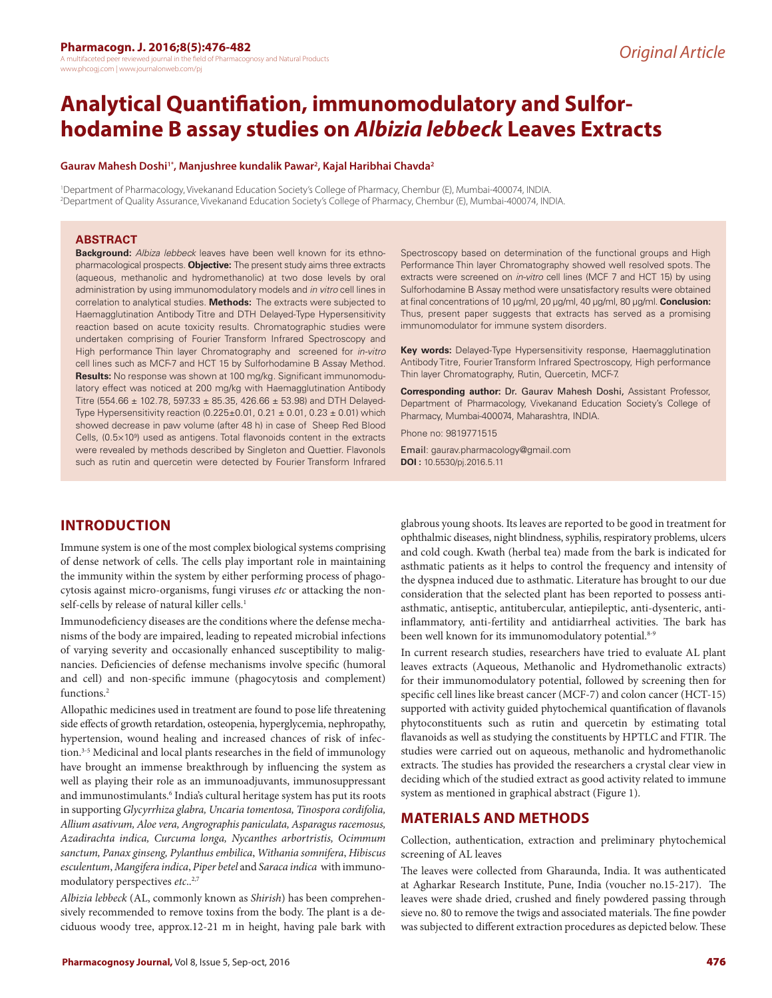# **Analytical Quantifiation, immunomodulatory and Sulforhodamine B assay studies on** *Albizia lebbeck* **Leaves Extracts**

#### **Gaurav Mahesh Doshi1\*, Manjushree kundalik Pawar2 , Kajal Haribhai Chavda2**

1 Department of Pharmacology, Vivekanand Education Society's College of Pharmacy, Chembur (E), Mumbai-400074, INDIA. 2 Department of Quality Assurance, Vivekanand Education Society's College of Pharmacy, Chembur (E), Mumbai-400074, INDIA.

#### **ABSTRACT**

**Background:** *Albiza lebbeck* leaves have been well known for its ethnopharmacological prospects. **Objective:** The present study aims three extracts (aqueous, methanolic and hydromethanolic) at two dose levels by oral administration by using immunomodulatory models and *in vitro* cell lines in correlation to analytical studies. **Methods:** The extracts were subjected to Haemagglutination Antibody Titre and DTH Delayed-Type Hypersensitivity reaction based on acute toxicity results. Chromatographic studies were undertaken comprising of Fourier Transform Infrared Spectroscopy and High performance Thin layer Chromatography and screened for *in-vitro* cell lines such as MCF-7 and HCT 15 by Sulforhodamine B Assay Method. **Results:** No response was shown at 100 mg/kg. Significant immunomodulatory effect was noticed at 200 mg/kg with Haemagglutination Antibody Titre (554.66 ± 102.78, 597.33 ± 85.35, 426.66 ± 53.98) and DTH Delayed-Type Hypersensitivity reaction (0.225±0.01, 0.21  $\pm$  0.01, 0.23  $\pm$  0.01) which showed decrease in paw volume (after 48 h) in case of Sheep Red Blood Cells, (0.5×109 ) used as antigens. Total flavonoids content in the extracts were revealed by methods described by Singleton and Quettier. Flavonols such as rutin and quercetin were detected by Fourier Transform Infrared

#### **INTRODUCTION**

Immune system is one of the most complex biological systems comprising of dense network of cells. The cells play important role in maintaining the immunity within the system by either performing process of phagocytosis against micro-organisms, fungi viruses *etc* or attacking the nonself-cells by release of natural killer cells.<sup>1</sup>

Immunodeficiency diseases are the conditions where the defense mechanisms of the body are impaired, leading to repeated microbial infections of varying severity and occasionally enhanced susceptibility to malignancies. Deficiencies of defense mechanisms involve specific (humoral and cell) and non-specific immune (phagocytosis and complement) functions.<sup>2</sup>

Allopathic medicines used in treatment are found to pose life threatening side effects of growth retardation, osteopenia, hyperglycemia, nephropathy, hypertension, wound healing and increased chances of risk of infection.<sup>3-5</sup> Medicinal and local plants researches in the field of immunology have brought an immense breakthrough by influencing the system as well as playing their role as an immunoadjuvants, immunosuppressant and immunostimulants.6 India's cultural heritage system has put its roots in supporting *Glycyrrhiza glabra, Uncaria tomentosa, Tinospora cordifolia, Allium asativum, Aloe vera, Angrographis paniculata, Asparagus racemosus, Azadirachta indica, Curcuma longa, Nycanthes arbortristis, Ocimmum sanctum, Panax ginseng, Pylanthus embilica*, *Withania somnifera*, *Hibiscus esculentum*, *Mangifera indica*, *Piper betel* and *Saraca indica* with immunomodulatory perspectives *etc*..2,7

*Albizia lebbeck* (AL, commonly known as *Shirish*) has been comprehensively recommended to remove toxins from the body. The plant is a deciduous woody tree, approx.12-21 m in height, having pale bark with Spectroscopy based on determination of the functional groups and High Performance Thin layer Chromatography showed well resolved spots. The extracts were screened on *in-vitro* cell lines (MCF 7 and HCT 15) by using Sulforhodamine B Assay method were unsatisfactory results were obtained at final concentrations of 10 μg/ml, 20 μg/ml, 40 μg/ml, 80 μg/ml. **Conclusion:**  Thus, present paper suggests that extracts has served as a promising immunomodulator for immune system disorders.

**Key words:** Delayed-Type Hypersensitivity response, Haemagglutination Antibody Titre, Fourier Transform Infrared Spectroscopy, High performance Thin layer Chromatography, Rutin, Quercetin, MCF-7.

**Corresponding author:** Dr. Gaurav Mahesh Doshi, Assistant Professor, Department of Pharmacology, Vivekanand Education Society's College of Pharmacy, Mumbai-400074, Maharashtra, INDIA.

Phone no: 9819771515

Email: gaurav.pharmacology@gmail.com **DOI :** 10.5530/pj.2016.5.11

glabrous young shoots. Its leaves are reported to be good in treatment for ophthalmic diseases, night blindness, syphilis, respiratory problems, ulcers and cold cough. Kwath (herbal tea) made from the bark is indicated for asthmatic patients as it helps to control the frequency and intensity of the dyspnea induced due to asthmatic. Literature has brought to our due consideration that the selected plant has been reported to possess antiasthmatic, antiseptic, antitubercular, antiepileptic, anti-dysenteric, antiinflammatory, anti-fertility and antidiarrheal activities. The bark has been well known for its immunomodulatory potential.<sup>8-9</sup>

In current research studies, researchers have tried to evaluate AL plant leaves extracts (Aqueous, Methanolic and Hydromethanolic extracts) for their immunomodulatory potential, followed by screening then for specific cell lines like breast cancer (MCF-7) and colon cancer (HCT-15) supported with activity guided phytochemical quantification of flavanols phytoconstituents such as rutin and quercetin by estimating total flavanoids as well as studying the constituents by HPTLC and FTIR. The studies were carried out on aqueous, methanolic and hydromethanolic extracts. The studies has provided the researchers a crystal clear view in deciding which of the studied extract as good activity related to immune system as mentioned in graphical abstract (Figure 1).

#### **MATERIALS AND METHODS**

Collection, authentication, extraction and preliminary phytochemical screening of AL leaves

The leaves were collected from Gharaunda, India. It was authenticated at Agharkar Research Institute, Pune, India (voucher no.15-217). The leaves were shade dried, crushed and finely powdered passing through sieve no. 80 to remove the twigs and associated materials. The fine powder was subjected to different extraction procedures as depicted below. These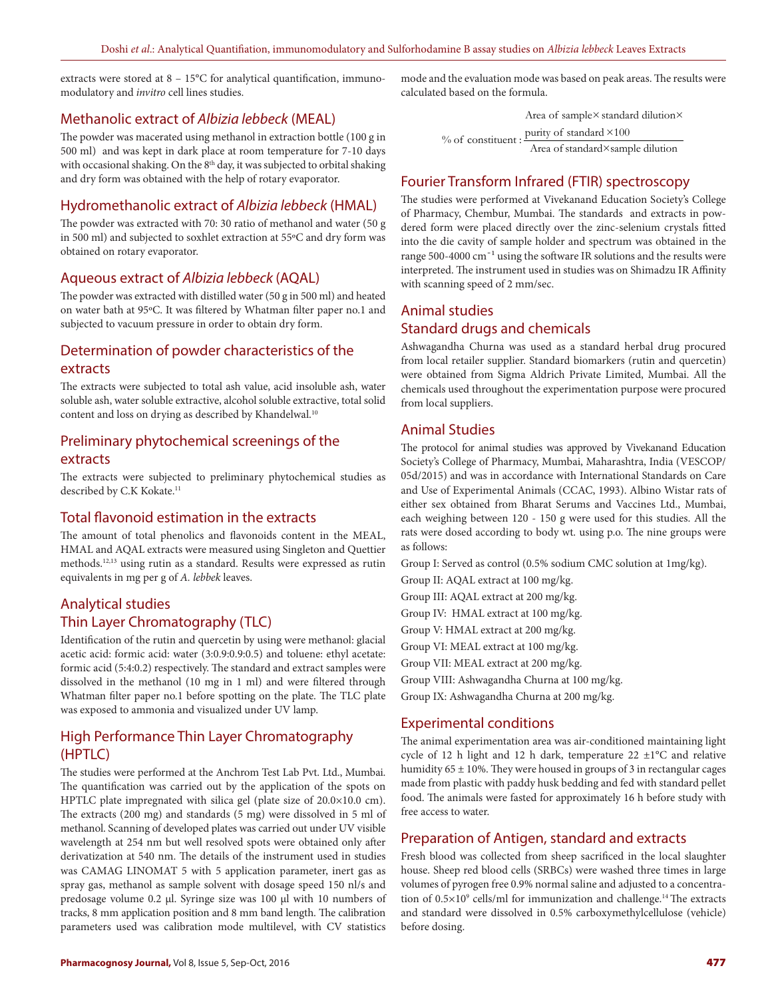extracts were stored at  $8 - 15^{\circ}$ C for analytical quantification, immunomodulatory and *invitro* cell lines studies.

#### Methanolic extract of *Albizia lebbeck* (MEAL)

The powder was macerated using methanol in extraction bottle (100 g in 500 ml) and was kept in dark place at room temperature for 7-10 days with occasional shaking. On the 8<sup>th</sup> day, it was subjected to orbital shaking and dry form was obtained with the help of rotary evaporator.

#### Hydromethanolic extract of *Albizia lebbeck* (HMAL)

The powder was extracted with 70: 30 ratio of methanol and water (50 g in 500 ml) and subjected to soxhlet extraction at 55ºC and dry form was obtained on rotary evaporator.

#### Aqueous extract of *Albizia lebbeck* (AQAL)

The powder was extracted with distilled water (50 g in 500 ml) and heated on water bath at 95ºC. It was filtered by Whatman filter paper no.1 and subjected to vacuum pressure in order to obtain dry form.

### Determination of powder characteristics of the extracts

The extracts were subjected to total ash value, acid insoluble ash, water soluble ash, water soluble extractive, alcohol soluble extractive, total solid content and loss on drying as described by Khandelwal.<sup>10</sup>

### Preliminary phytochemical screenings of the extracts

The extracts were subjected to preliminary phytochemical studies as described by C.K Kokate.<sup>11</sup>

#### Total flavonoid estimation in the extracts

The amount of total phenolics and flavonoids content in the MEAL, HMAL and AQAL extracts were measured using Singleton and Quettier methods.12,13 using rutin as a standard. Results were expressed as rutin equivalents in mg per g of *A. lebbek* leaves.

### Analytical studies Thin Layer Chromatography (TLC)

Identification of the rutin and quercetin by using were methanol: glacial acetic acid: formic acid: water (3:0.9:0.9:0.5) and toluene: ethyl acetate: formic acid (5:4:0.2) respectively. The standard and extract samples were dissolved in the methanol (10 mg in 1 ml) and were filtered through Whatman filter paper no.1 before spotting on the plate. The TLC plate was exposed to ammonia and visualized under UV lamp.

# High Performance Thin Layer Chromatography (HPTLC)

The studies were performed at the Anchrom Test Lab Pvt. Ltd., Mumbai. The quantification was carried out by the application of the spots on HPTLC plate impregnated with silica gel (plate size of 20.0×10.0 cm). The extracts (200 mg) and standards (5 mg) were dissolved in 5 ml of methanol. Scanning of developed plates was carried out under UV visible wavelength at 254 nm but well resolved spots were obtained only after derivatization at 540 nm. The details of the instrument used in studies was CAMAG LINOMAT 5 with 5 application parameter, inert gas as spray gas, methanol as sample solvent with dosage speed 150 nl/s and predosage volume 0.2 µl. Syringe size was 100 µl with 10 numbers of tracks, 8 mm application position and 8 mm band length. The calibration parameters used was calibration mode multilevel, with CV statistics

mode and the evaluation mode was based on peak areas. The results were calculated based on the formula.

Area of sample× standard dilution×

% of constituent :  $\frac{\text{purity of standard} \times 100}{\text{Area of standard} \times \text{sample dilution}}$ 

### Fourier Transform Infrared (FTIR) spectroscopy

The studies were performed at Vivekanand Education Society's College of Pharmacy, Chembur, Mumbai. The standards and extracts in powdered form were placed directly over the zinc-selenium crystals fitted into the die cavity of sample holder and spectrum was obtained in the range 500-4000 cm<sup>-1</sup> using the software IR solutions and the results were interpreted. The instrument used in studies was on Shimadzu IR Affinity with scanning speed of 2 mm/sec.

# Animal studies Standard drugs and chemicals

Ashwagandha Churna was used as a standard herbal drug procured from local retailer supplier. Standard biomarkers (rutin and quercetin) were obtained from Sigma Aldrich Private Limited, Mumbai. All the chemicals used throughout the experimentation purpose were procured from local suppliers.

### Animal Studies

The protocol for animal studies was approved by Vivekanand Education Society's College of Pharmacy, Mumbai, Maharashtra, India (VESCOP/ 05d/2015) and was in accordance with International Standards on Care and Use of Experimental Animals (CCAC, 1993). Albino Wistar rats of either sex obtained from Bharat Serums and Vaccines Ltd., Mumbai, each weighing between 120 - 150 g were used for this studies. All the rats were dosed according to body wt. using p.o. The nine groups were as follows:

Group I: Served as control (0.5% sodium CMC solution at 1mg/kg).

Group II: AQAL extract at 100 mg/kg.

Group III: AQAL extract at 200 mg/kg.

Group IV: HMAL extract at 100 mg/kg.

Group V: HMAL extract at 200 mg/kg.

Group VI: MEAL extract at 100 mg/kg.

Group VII: MEAL extract at 200 mg/kg.

Group VIII: Ashwagandha Churna at 100 mg/kg.

Group IX: Ashwagandha Churna at 200 mg/kg.

#### Experimental conditions

The animal experimentation area was air-conditioned maintaining light cycle of 12 h light and 12 h dark, temperature  $22 \pm 1^{\circ}$ C and relative humidity  $65 \pm 10$ %. They were housed in groups of 3 in rectangular cages made from plastic with paddy husk bedding and fed with standard pellet food. The animals were fasted for approximately 16 h before study with free access to water.

#### Preparation of Antigen, standard and extracts

Fresh blood was collected from sheep sacrificed in the local slaughter house. Sheep red blood cells (SRBCs) were washed three times in large volumes of pyrogen free 0.9% normal saline and adjusted to a concentration of 0.5×10<sup>9</sup> cells/ml for immunization and challenge.<sup>14</sup> The extracts and standard were dissolved in 0.5% carboxymethylcellulose (vehicle) before dosing.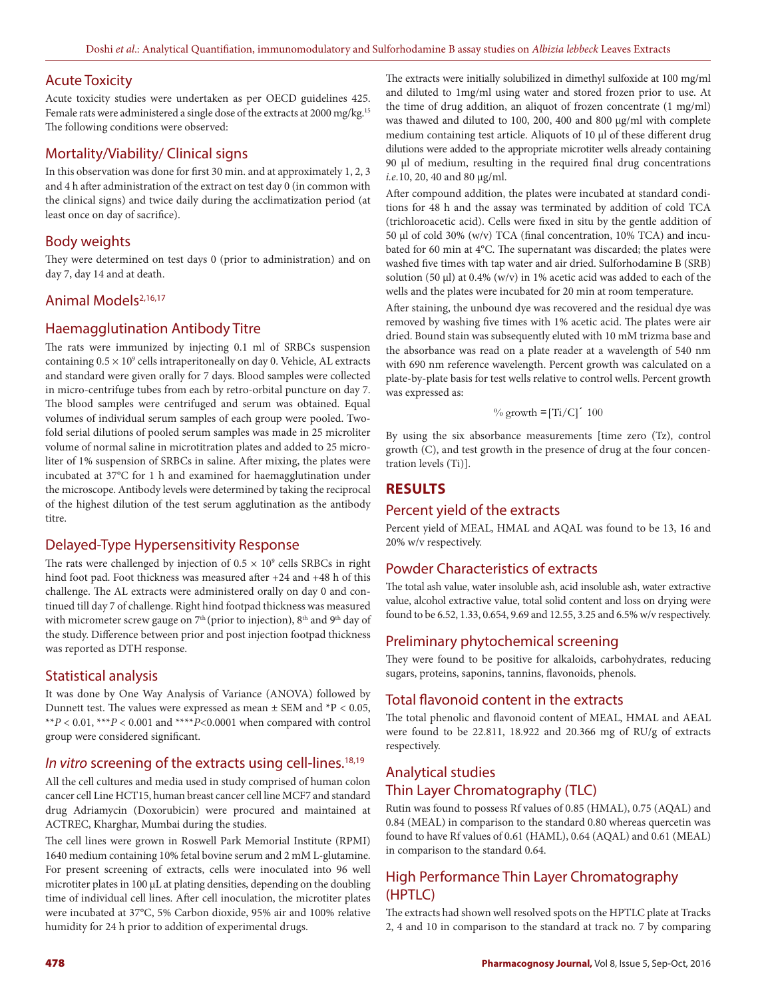### Acute Toxicity

Acute toxicity studies were undertaken as per OECD guidelines 425. Female rats were administered a single dose of the extracts at 2000 mg/kg.<sup>15</sup> The following conditions were observed:

### Mortality/Viability/ Clinical signs

In this observation was done for first 30 min. and at approximately 1, 2, 3 and 4 h after administration of the extract on test day 0 (in common with the clinical signs) and twice daily during the acclimatization period (at least once on day of sacrifice).

#### Body weights

They were determined on test days 0 (prior to administration) and on day 7, day 14 and at death.

### Animal Models<sup>2,16,17</sup>

#### Haemagglutination Antibody Titre

The rats were immunized by injecting 0.1 ml of SRBCs suspension containing  $0.5 \times 10^9$  cells intraperitoneally on day 0. Vehicle, AL extracts and standard were given orally for 7 days. Blood samples were collected in micro-centrifuge tubes from each by retro-orbital puncture on day 7. The blood samples were centrifuged and serum was obtained. Equal volumes of individual serum samples of each group were pooled. Twofold serial dilutions of pooled serum samples was made in 25 microliter volume of normal saline in microtitration plates and added to 25 microliter of 1% suspension of SRBCs in saline. After mixing, the plates were incubated at 37°C for 1 h and examined for haemagglutination under the microscope. Antibody levels were determined by taking the reciprocal of the highest dilution of the test serum agglutination as the antibody titre.

### Delayed-Type Hypersensitivity Response

The rats were challenged by injection of  $0.5 \times 10^9$  cells SRBCs in right hind foot pad. Foot thickness was measured after +24 and +48 h of this challenge. The AL extracts were administered orally on day 0 and continued till day 7 of challenge. Right hind footpad thickness was measured with micrometer screw gauge on  $7<sup>th</sup>$  (prior to injection),  $8<sup>th</sup>$  and  $9<sup>th</sup>$  day of the study. Difference between prior and post injection footpad thickness was reported as DTH response.

### Statistical analysis

It was done by One Way Analysis of Variance (ANOVA) followed by Dunnett test. The values were expressed as mean  $\pm$  SEM and  $*P < 0.05$ , \*\* $P < 0.01$ , \*\*\* $P < 0.001$  and \*\*\*\* $P < 0.0001$  when compared with control group were considered significant.

#### *In vitro* screening of the extracts using cell-lines.<sup>18,19</sup>

All the cell cultures and media used in study comprised of human colon cancer cell Line HCT15, human breast cancer cell line MCF7 and standard drug Adriamycin (Doxorubicin) were procured and maintained at ACTREC, Kharghar, Mumbai during the studies.

The cell lines were grown in Roswell Park Memorial Institute (RPMI) 1640 medium containing 10% fetal bovine serum and 2 mM L-glutamine. For present screening of extracts, cells were inoculated into 96 well microtiter plates in 100 µL at plating densities, depending on the doubling time of individual cell lines. After cell inoculation, the microtiter plates were incubated at 37°C, 5% Carbon dioxide, 95% air and 100% relative humidity for 24 h prior to addition of experimental drugs.

The extracts were initially solubilized in dimethyl sulfoxide at 100 mg/ml and diluted to 1mg/ml using water and stored frozen prior to use. At the time of drug addition, an aliquot of frozen concentrate (1 mg/ml) was thawed and diluted to 100, 200, 400 and 800 μg/ml with complete medium containing test article. Aliquots of 10 µl of these different drug dilutions were added to the appropriate microtiter wells already containing 90 µl of medium, resulting in the required final drug concentrations *i.e.*10, 20, 40 and 80 μg/ml.

After compound addition, the plates were incubated at standard conditions for 48 h and the assay was terminated by addition of cold TCA (trichloroacetic acid). Cells were fixed in situ by the gentle addition of 50 µl of cold 30% (w/v) TCA (final concentration, 10% TCA) and incubated for 60 min at 4°C. The supernatant was discarded; the plates were washed five times with tap water and air dried. Sulforhodamine B (SRB) solution (50  $\mu$ l) at 0.4% (w/v) in 1% acetic acid was added to each of the wells and the plates were incubated for 20 min at room temperature.

After staining, the unbound dye was recovered and the residual dye was removed by washing five times with 1% acetic acid. The plates were air dried. Bound stain was subsequently eluted with 10 mM trizma base and the absorbance was read on a plate reader at a wavelength of 540 nm with 690 nm reference wavelength. Percent growth was calculated on a plate-by-plate basis for test wells relative to control wells. Percent growth was expressed as:

$$
\% \text{ growth} = [Ti/C]'
$$
 100

By using the six absorbance measurements [time zero (Tz), control growth (C), and test growth in the presence of drug at the four concentration levels (Ti)].

### **RESULTS**

#### Percent yield of the extracts

Percent yield of MEAL, HMAL and AQAL was found to be 13, 16 and 20% w/v respectively.

# Powder Characteristics of extracts

The total ash value, water insoluble ash, acid insoluble ash, water extractive value, alcohol extractive value, total solid content and loss on drying were found to be 6.52, 1.33, 0.654, 9.69 and 12.55, 3.25 and 6.5% w/v respectively.

### Preliminary phytochemical screening

They were found to be positive for alkaloids, carbohydrates, reducing sugars, proteins, saponins, tannins, flavonoids, phenols.

### Total flavonoid content in the extracts

The total phenolic and flavonoid content of MEAL, HMAL and AEAL were found to be 22.811, 18.922 and 20.366 mg of RU/g of extracts respectively.

# Analytical studies Thin Layer Chromatography (TLC)

Rutin was found to possess Rf values of 0.85 (HMAL), 0.75 (AQAL) and 0.84 (MEAL) in comparison to the standard 0.80 whereas quercetin was found to have Rf values of 0.61 (HAML), 0.64 (AQAL) and 0.61 (MEAL) in comparison to the standard 0.64.

# High Performance Thin Layer Chromatography (HPTLC)

The extracts had shown well resolved spots on the HPTLC plate at Tracks 2, 4 and 10 in comparison to the standard at track no. 7 by comparing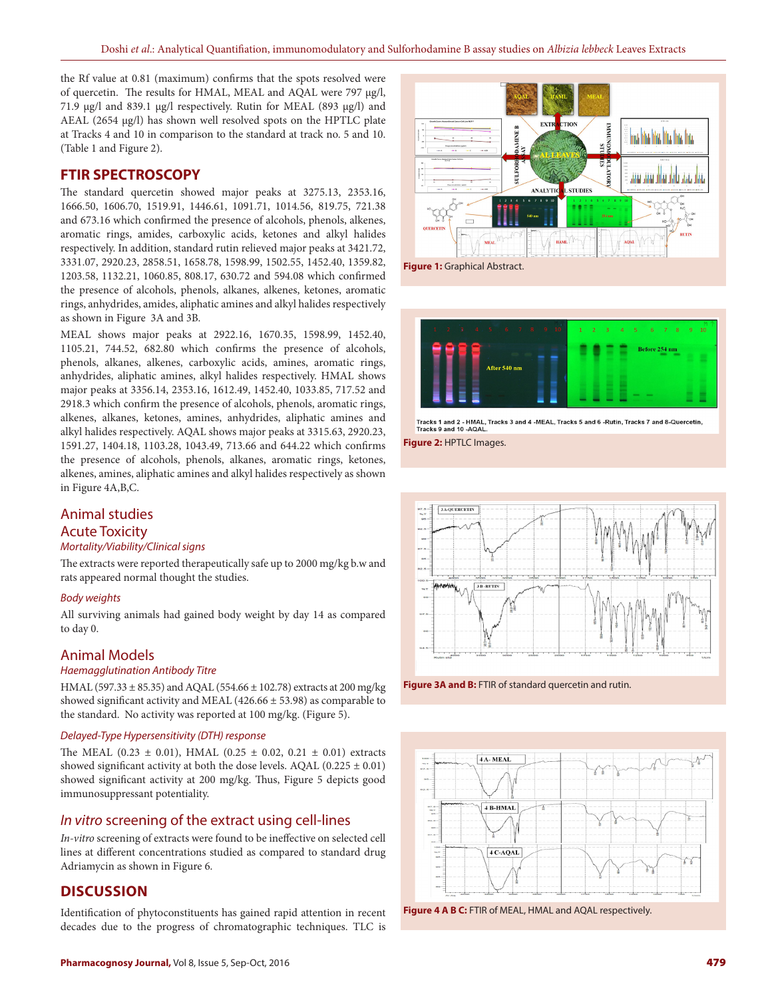the Rf value at 0.81 (maximum) confirms that the spots resolved were of quercetin. The results for HMAL, MEAL and AQAL were 797 µg/l, 71.9 µg/l and 839.1 µg/l respectively. Rutin for MEAL (893 µg/l) and AEAL (2654 µg/l) has shown well resolved spots on the HPTLC plate at Tracks 4 and 10 in comparison to the standard at track no. 5 and 10. (Table 1 and Figure 2).

#### **FTIR SPECTROSCOPY**

The standard quercetin showed major peaks at 3275.13, 2353.16, 1666.50, 1606.70, 1519.91, 1446.61, 1091.71, 1014.56, 819.75, 721.38 and 673.16 which confirmed the presence of alcohols, phenols, alkenes, aromatic rings, amides, carboxylic acids, ketones and alkyl halides respectively. In addition, standard rutin relieved major peaks at 3421.72, 3331.07, 2920.23, 2858.51, 1658.78, 1598.99, 1502.55, 1452.40, 1359.82, 1203.58, 1132.21, 1060.85, 808.17, 630.72 and 594.08 which confirmed the presence of alcohols, phenols, alkanes, alkenes, ketones, aromatic rings, anhydrides, amides, aliphatic amines and alkyl halides respectively as shown in Figure 3A and 3B.

MEAL shows major peaks at 2922.16, 1670.35, 1598.99, 1452.40, 1105.21, 744.52, 682.80 which confirms the presence of alcohols, phenols, alkanes, alkenes, carboxylic acids, amines, aromatic rings, anhydrides, aliphatic amines, alkyl halides respectively. HMAL shows major peaks at 3356.14, 2353.16, 1612.49, 1452.40, 1033.85, 717.52 and 2918.3 which confirm the presence of alcohols, phenols, aromatic rings, alkenes, alkanes, ketones, amines, anhydrides, aliphatic amines and alkyl halides respectively. AQAL shows major peaks at 3315.63, 2920.23, 1591.27, 1404.18, 1103.28, 1043.49, 713.66 and 644.22 which confirms the presence of alcohols, phenols, alkanes, aromatic rings, ketones, alkenes, amines, aliphatic amines and alkyl halides respectively as shown in Figure 4A,B,C.

### Animal studies

#### Acute Toxicity

#### *Mortality/Viability/Clinical signs*

The extracts were reported therapeutically safe up to 2000 mg/kg b.w and rats appeared normal thought the studies.

#### *Body weights*

All surviving animals had gained body weight by day 14 as compared to day 0.

#### Animal Models

#### *Haemagglutination Antibody Titre*

HMAL (597.33 ± 85.35) and AQAL (554.66 ± 102.78) extracts at 200 mg/kg showed significant activity and MEAL (426.66 ± 53.98) as comparable to the standard. No activity was reported at 100 mg/kg. (Figure 5).

#### *Delayed-Type Hypersensitivity (DTH) response*

The MEAL (0.23  $\pm$  0.01), HMAL (0.25  $\pm$  0.02, 0.21  $\pm$  0.01) extracts showed significant activity at both the dose levels. AQAL (0.225  $\pm$  0.01) showed significant activity at 200 mg/kg. Thus, Figure 5 depicts good immunosuppressant potentiality.

#### *In vitro* screening of the extract using cell-lines

*In-vitro* screening of extracts were found to be ineffective on selected cell lines at different concentrations studied as compared to standard drug Adriamycin as shown in Figure 6.

#### **DISCUSSION**

Identification of phytoconstituents has gained rapid attention in recent decades due to the progress of chromatographic techniques. TLC is



**Figure 1:** Graphical Abstract.





**Figure 2:** HPTLC Images.



**Figure 3A and B:** FTIR of standard quercetin and rutin.



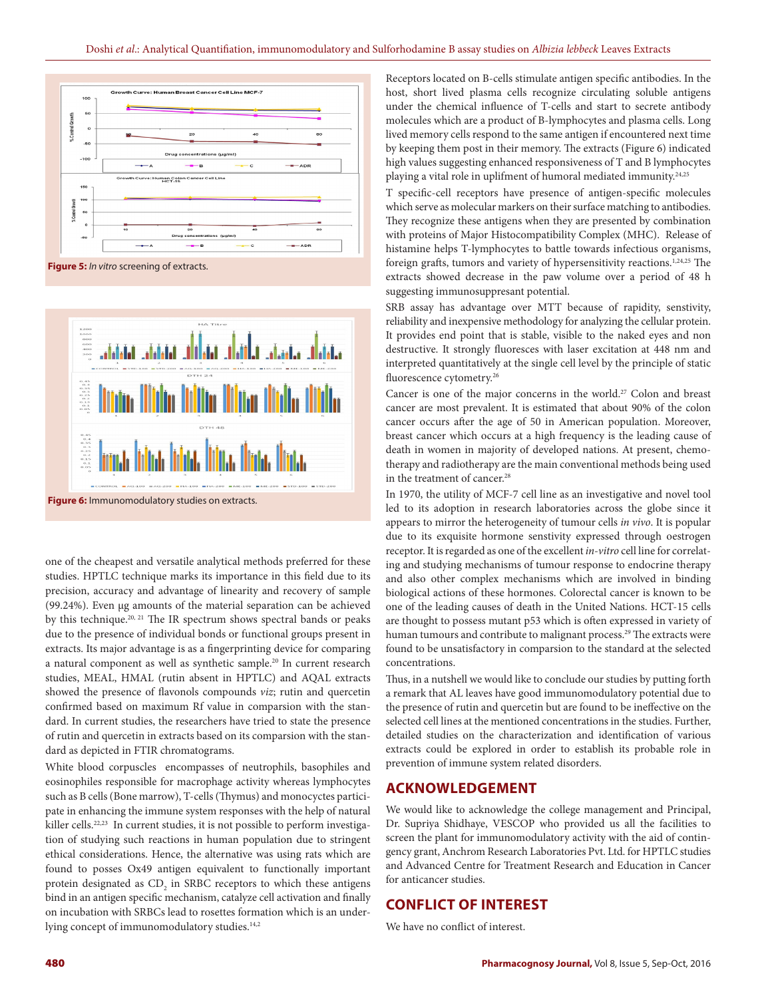



one of the cheapest and versatile analytical methods preferred for these studies. HPTLC technique marks its importance in this field due to its precision, accuracy and advantage of linearity and recovery of sample (99.24%). Even µg amounts of the material separation can be achieved by this technique.<sup>20, 21</sup> The IR spectrum shows spectral bands or peaks due to the presence of individual bonds or functional groups present in extracts. Its major advantage is as a fingerprinting device for comparing a natural component as well as synthetic sample.<sup>20</sup> In current research studies, MEAL, HMAL (rutin absent in HPTLC) and AQAL extracts showed the presence of flavonols compounds *viz*; rutin and quercetin confirmed based on maximum Rf value in comparsion with the standard. In current studies, the researchers have tried to state the presence of rutin and quercetin in extracts based on its comparsion with the standard as depicted in FTIR chromatograms.

White blood corpuscles encompasses of neutrophils, basophiles and eosinophiles responsible for macrophage activity whereas lymphocytes such as B cells (Bone marrow), T-cells (Thymus) and monocyctes participate in enhancing the immune system responses with the help of natural killer cells.<sup>22,23</sup> In current studies, it is not possible to perform investigation of studying such reactions in human population due to stringent ethical considerations. Hence, the alternative was using rats which are found to posses Ox49 antigen equivalent to functionally important protein designated as  $CD<sub>2</sub>$  in SRBC receptors to which these antigens bind in an antigen specific mechanism, catalyze cell activation and finally on incubation with SRBCs lead to rosettes formation which is an underlying concept of immunomodulatory studies.<sup>14,2</sup>

Receptors located on B-cells stimulate antigen specific antibodies. In the host, short lived plasma cells recognize circulating soluble antigens under the chemical influence of T-cells and start to secrete antibody molecules which are a product of B-lymphocytes and plasma cells. Long lived memory cells respond to the same antigen if encountered next time by keeping them post in their memory. The extracts (Figure 6) indicated high values suggesting enhanced responsiveness of T and B lymphocytes playing a vital role in uplifment of humoral mediated immunity.<sup>24,25</sup>

T specific-cell receptors have presence of antigen-specific molecules which serve as molecular markers on their surface matching to antibodies. They recognize these antigens when they are presented by combination with proteins of Major Histocompatibility Complex (MHC). Release of histamine helps T-lymphocytes to battle towards infectious organisms, foreign grafts, tumors and variety of hypersensitivity reactions.1,24,25 The extracts showed decrease in the paw volume over a period of 48 h suggesting immunosuppresant potential.

SRB assay has advantage over MTT because of rapidity, senstivity, reliability and inexpensive methodology for analyzing the cellular protein. It provides end point that is stable, visible to the naked eyes and non destructive. It strongly fluoresces with laser excitation at 448 nm and interpreted quantitatively at the single cell level by the principle of static fluorescence cytometry.<sup>26</sup>

Cancer is one of the major concerns in the world.<sup>27</sup> Colon and breast cancer are most prevalent. It is estimated that about 90% of the colon cancer occurs after the age of 50 in American population. Moreover, breast cancer which occurs at a high frequency is the leading cause of death in women in majority of developed nations. At present, chemotherapy and radiotherapy are the main conventional methods being used in the treatment of cancer.<sup>28</sup>

In 1970, the utility of MCF-7 cell line as an investigative and novel tool led to its adoption in research laboratories across the globe since it appears to mirror the heterogeneity of tumour cells *in vivo*. It is popular due to its exquisite hormone senstivity expressed through oestrogen receptor. It is regarded as one of the excellent *in-vitro* cell line for correlating and studying mechanisms of tumour response to endocrine therapy and also other complex mechanisms which are involved in binding biological actions of these hormones. Colorectal cancer is known to be one of the leading causes of death in the United Nations. HCT-15 cells are thought to possess mutant p53 which is often expressed in variety of human tumours and contribute to malignant process.<sup>29</sup> The extracts were found to be unsatisfactory in comparsion to the standard at the selected concentrations.

Thus, in a nutshell we would like to conclude our studies by putting forth a remark that AL leaves have good immunomodulatory potential due to the presence of rutin and quercetin but are found to be ineffective on the selected cell lines at the mentioned concentrations in the studies. Further, detailed studies on the characterization and identification of various extracts could be explored in order to establish its probable role in prevention of immune system related disorders.

#### **ACKNOWLEDGEMENT**

We would like to acknowledge the college management and Principal, Dr. Supriya Shidhaye, VESCOP who provided us all the facilities to screen the plant for immunomodulatory activity with the aid of contingency grant, Anchrom Research Laboratories Pvt. Ltd. for HPTLC studies and Advanced Centre for Treatment Research and Education in Cancer for anticancer studies.

#### **CONFLICT OF INTEREST**

We have no conflict of interest.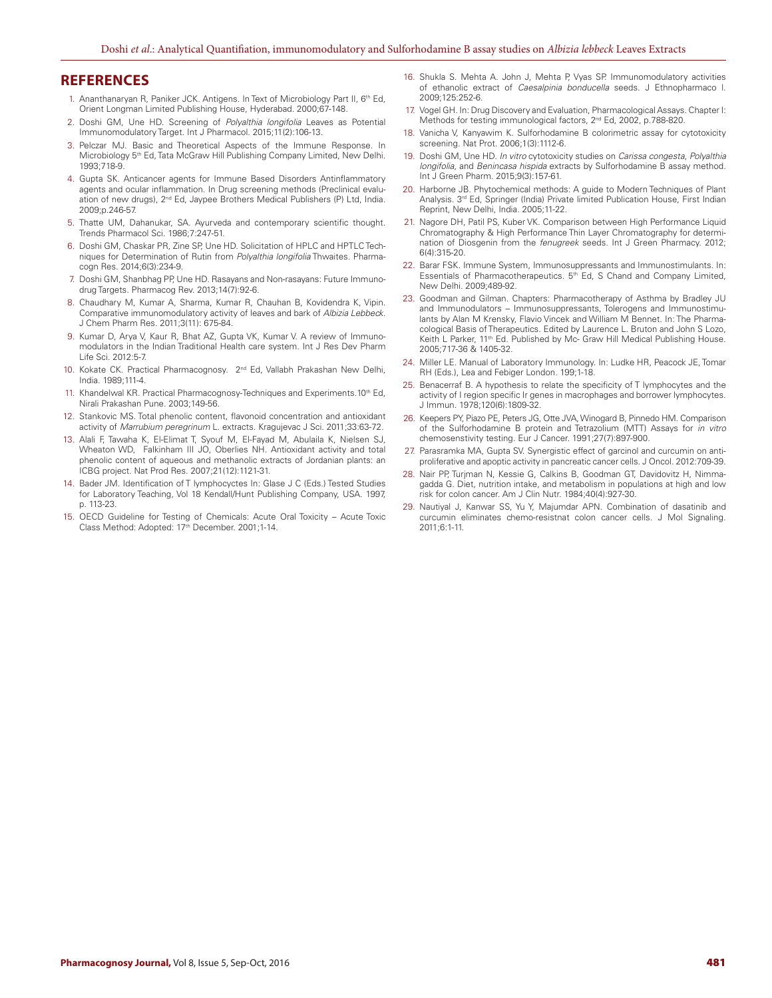#### **REFERENCES**

- 1. Ananthanaryan R, Paniker JCK. Antigens. In Text of Microbiology Part II, 6th Ed, Orient Longman Limited Publishing House, Hyderabad. 2000;67-148.
- 2. Doshi GM, Une HD. Screening of *Polyalthia longifolia* Leaves as Potential Immunomodulatory Target. Int J Pharmacol. 2015;11(2):106-13.
- 3. Pelczar MJ. Basic and Theoretical Aspects of the Immune Response. In Microbiology 5<sup>th</sup> Ed, Tata McGraw Hill Publishing Company Limited, New Delhi. 1993;718-9.
- 4. Gupta SK. Anticancer agents for Immune Based Disorders Antinflammatory agents and ocular inflammation. In Drug screening methods (Preclinical evaluation of new drugs), 2<sup>nd</sup> Ed, Jaypee Brothers Medical Publishers (P) Ltd, India. 2009;p.246-57.
- 5. Thatte UM, Dahanukar, SA. Ayurveda and contemporary scientific thought. Trends Pharmacol Sci. 1986;7:247-51.
- 6. Doshi GM, Chaskar PR, Zine SP, Une HD. Solicitation of HPLC and HPTLC Techniques for Determination of Rutin from *Polyalthia longifolia* Thwaites. Pharmacogn Res. 2014;6(3):234-9.
- 7. Doshi GM, Shanbhag PP, Une HD. Rasayans and Non-rasayans: Future Immunodrug Targets. Pharmacog Rev. 2013;14(7):92-6.
- 8. Chaudhary M, Kumar A, Sharma, Kumar R, Chauhan B, Kovidendra K, Vipin. Comparative immunomodulatory activity of leaves and bark of *Albizia Lebbeck*. J Chem Pharm Res. 2011;3(11): 675-84.
- 9. Kumar D, Arya V, Kaur R, Bhat AZ, Gupta VK, Kumar V. A review of Immunomodulators in the Indian Traditional Health care system. Int J Res Dev Pharm Life Sci. 2012:5-7.
- 10. Kokate CK. Practical Pharmacognosy. 2<sup>nd</sup> Ed, Vallabh Prakashan New Delhi, India. 1989;111-4.
- 11. Khandelwal KR. Practical Pharmacognosy-Techniques and Experiments.10<sup>th</sup> Ed, Nirali Prakashan Pune. 2003;149-56.
- 12. Stankovic MS. Total phenolic content, flavonoid concentration and antioxidant activity of *Marrubium peregrinum* L. extracts. Kragujevac J Sci. 2011;33:63-72*.*
- 13. Alali F, Tawaha K, El-Elimat T, Syouf M, El-Fayad M, Abulaila K, Nielsen SJ, Wheaton WD, Falkinham III JO, Oberlies NH. Antioxidant activity and total phenolic content of aqueous and methanolic extracts of Jordanian plants: an ICBG project. Nat Prod Res. 2007;21(12):1121-31.
- 14. Bader JM. Identification of T lymphocyctes In: Glase J C (Eds.) Tested Studies for Laboratory Teaching, Vol 18 Kendall/Hunt Publishing Company, USA. 1997, p. 113-23.
- 15. OECD Guideline for Testing of Chemicals: Acute Oral Toxicity Acute Toxic Class Method: Adopted: 17<sup>th</sup> December. 2001;1-14.
- 16. Shukla S. Mehta A. John J, Mehta P, Vyas SP. Immunomodulatory activities of ethanolic extract of *Caesalpinia bonducella* seeds. J Ethnopharmaco l. 2009;125:252-6.
- 17. Vogel GH. In: Drug Discovery and Evaluation, Pharmacological Assays. Chapter I: Methods for testing immunological factors, 2<sup>nd</sup> Ed, 2002, p.788-820.
- 18. Vanicha V, Kanyawim K. Sulforhodamine B colorimetric assay for cytotoxicity screening. Nat Prot. 2006;1(3):1112-6.
- 19. Doshi GM, Une HD. *In vitro* cytotoxicity studies on *Carissa congesta*, *Polyalthia longifolia*, and *Benincasa hispida* extracts by Sulforhodamine B assay method. Int J Green Pharm. 2015;9(3):157-61.
- 20. Harborne JB. Phytochemical methods: A guide to Modern Techniques of Plant Analysis. 3rd Ed, Springer (India) Private limited Publication House, First Indian Reprint, New Delhi, India. 2005;11-22.
- 21. Nagore DH, Patil PS, Kuber VK. Comparison between High Performance Liquid Chromatography & High Performance Thin Layer Chromatography for determination of Diosgenin from the *fenugreek* seeds. Int J Green Pharmacy. 2012; 6(4):315-20.
- 22. Barar FSK. Immune System, Immunosuppressants and Immunostimulants. In: Essentials of Pharmacotherapeutics. 5<sup>th</sup> Ed, S Chand and Company Limited, New Delhi. 2009;489-92.
- 23. Goodman and Gilman. Chapters: Pharmacotherapy of Asthma by Bradley JU and Immunodulators – Immunosuppressants, Tolerogens and Immunostimulants by Alan M Krensky, Flavio Vincek and William M Bennet. In: The Pharmacological Basis of Therapeutics. Edited by Laurence L. Bruton and John S Lozo, Keith L Parker, 11<sup>th</sup> Ed. Published by Mc- Graw Hill Medical Publishing House. 2005;717-36 & 1405-32.
- 24. Miller LE. Manual of Laboratory Immunology. In: Ludke HR, Peacock JE, Tomar RH (Eds.), Lea and Febiger London. 199;1-18.
- 25. Benacerraf B. A hypothesis to relate the specificity of T lymphocytes and the activity of I region specific Ir genes in macrophages and borrower lymphocytes. J Immun. 1978;120(6):1809-32.
- 26. Keepers PY, Piazo PE, Peters JG, Otte JVA, Winogard B, Pinnedo HM. Comparison of the Sulforhodamine B protein and Tetrazolium (MTT) Assays for *in vitro*  chemosenstivity testing. Eur J Cancer. 1991;27(7):897-900.
- 27. Parasramka MA, Gupta SV. Synergistic effect of garcinol and curcumin on antiproliferative and apoptic activity in pancreatic cancer cells. J Oncol. 2012:709-39.
- 28. Nair PP, Turjman N, Kessie G, Calkins B, Goodman GT, Davidovitz H, Nimmagadda G. Diet, nutrition intake, and metabolism in populations at high and low risk for colon cancer. Am J Clin Nutr. 1984;40(4):927-30.
- 29. Nautiyal J, Kanwar SS, Yu Y, Majumdar APN. Combination of dasatinib and curcumin eliminates chemo-resistnat colon cancer cells. J Mol Signaling. 2011;6:1-11.